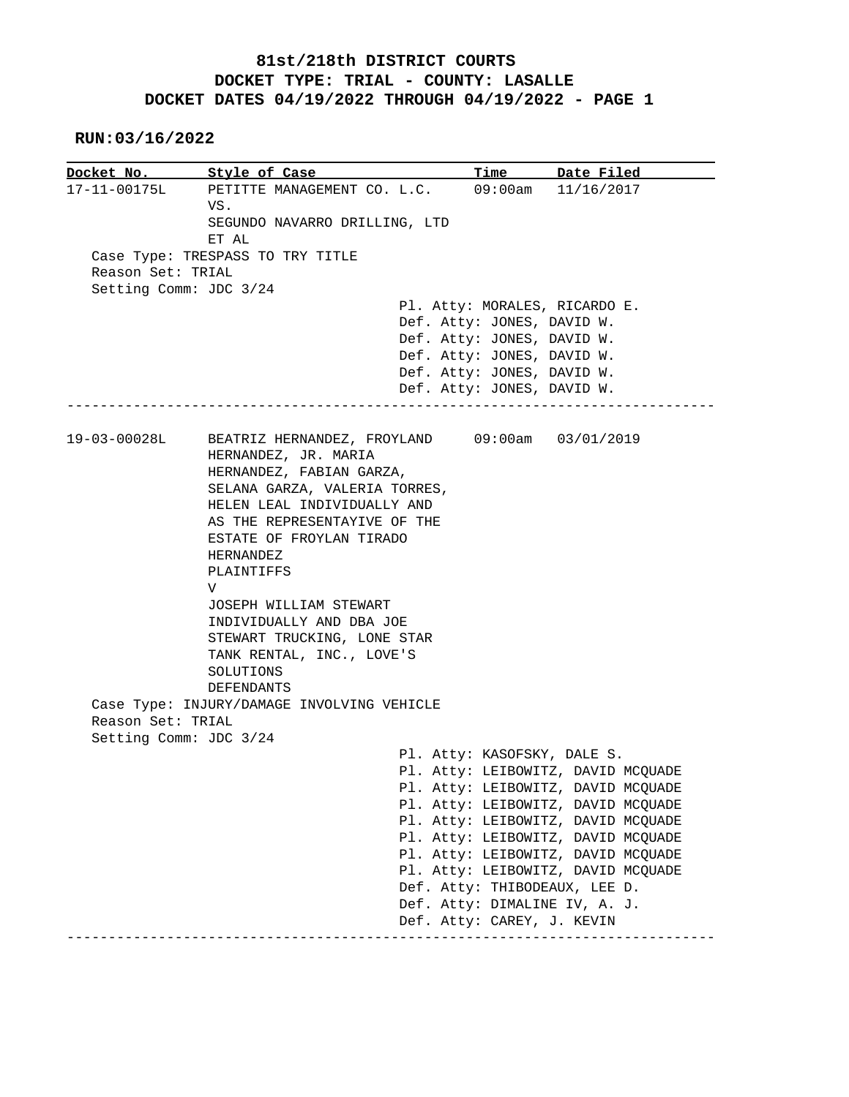## **81st/218th DISTRICT COURTS DOCKET TYPE: TRIAL - COUNTY: LASALLE DOCKET DATES 04/19/2022 THROUGH 04/19/2022 - PAGE 1**

## **RUN:03/16/2022**

|                        | Docket No. Style of Case                                               | Time                          | Date Filed                         |
|------------------------|------------------------------------------------------------------------|-------------------------------|------------------------------------|
| 17-11-00175L           | PETITTE MANAGEMENT CO. L.C. 09:00am 11/16/2017                         |                               |                                    |
|                        | VS.                                                                    |                               |                                    |
|                        | SEGUNDO NAVARRO DRILLING, LTD                                          |                               |                                    |
|                        | ET AL                                                                  |                               |                                    |
|                        | Case Type: TRESPASS TO TRY TITLE                                       |                               |                                    |
| Reason Set: TRIAL      |                                                                        |                               |                                    |
| Setting Comm: JDC 3/24 |                                                                        |                               |                                    |
|                        |                                                                        | Pl. Atty: MORALES, RICARDO E. |                                    |
|                        |                                                                        | Def. Atty: JONES, DAVID W.    |                                    |
|                        |                                                                        | Def. Atty: JONES, DAVID W.    |                                    |
|                        |                                                                        | Def. Atty: JONES, DAVID W.    |                                    |
|                        |                                                                        | Def. Atty: JONES, DAVID W.    |                                    |
|                        |                                                                        | Def. Atty: JONES, DAVID W.    |                                    |
|                        |                                                                        |                               |                                    |
| 19-03-00028L           | BEATRIZ HERNANDEZ, FROYLAND 09:00am 03/01/2019<br>HERNANDEZ, JR. MARIA |                               |                                    |
|                        | HERNANDEZ, FABIAN GARZA,                                               |                               |                                    |
|                        | SELANA GARZA, VALERIA TORRES,                                          |                               |                                    |
|                        | HELEN LEAL INDIVIDUALLY AND                                            |                               |                                    |
|                        | AS THE REPRESENTAYIVE OF THE                                           |                               |                                    |
|                        | ESTATE OF FROYLAN TIRADO                                               |                               |                                    |
|                        | HERNANDEZ                                                              |                               |                                    |
|                        | PLAINTIFFS                                                             |                               |                                    |
|                        | V                                                                      |                               |                                    |
|                        | JOSEPH WILLIAM STEWART                                                 |                               |                                    |
|                        | INDIVIDUALLY AND DBA JOE                                               |                               |                                    |
|                        | STEWART TRUCKING, LONE STAR                                            |                               |                                    |
|                        | TANK RENTAL, INC., LOVE'S                                              |                               |                                    |
|                        | SOLUTIONS                                                              |                               |                                    |
|                        | DEFENDANTS                                                             |                               |                                    |
|                        | Case Type: INJURY/DAMAGE INVOLVING VEHICLE                             |                               |                                    |
| Reason Set: TRIAL      |                                                                        |                               |                                    |
| Setting Comm: JDC 3/24 |                                                                        |                               |                                    |
|                        |                                                                        | Pl. Atty: KASOFSKY, DALE S.   |                                    |
|                        |                                                                        |                               | Pl. Atty: LEIBOWITZ, DAVID MCQUADE |
|                        |                                                                        |                               | Pl. Atty: LEIBOWITZ, DAVID MCQUADE |
|                        |                                                                        |                               | Pl. Atty: LEIBOWITZ, DAVID MCQUADE |
|                        |                                                                        |                               | Pl. Atty: LEIBOWITZ, DAVID MCQUADE |
|                        |                                                                        |                               | Pl. Atty: LEIBOWITZ, DAVID MCQUADE |
|                        |                                                                        |                               | Pl. Atty: LEIBOWITZ, DAVID MCQUADE |
|                        |                                                                        |                               | Pl. Atty: LEIBOWITZ, DAVID MCQUADE |
|                        |                                                                        | Def. Atty: THIBODEAUX, LEE D. |                                    |
|                        |                                                                        | Def. Atty: DIMALINE IV, A. J. |                                    |
|                        |                                                                        | Def. Atty: CAREY, J. KEVIN    |                                    |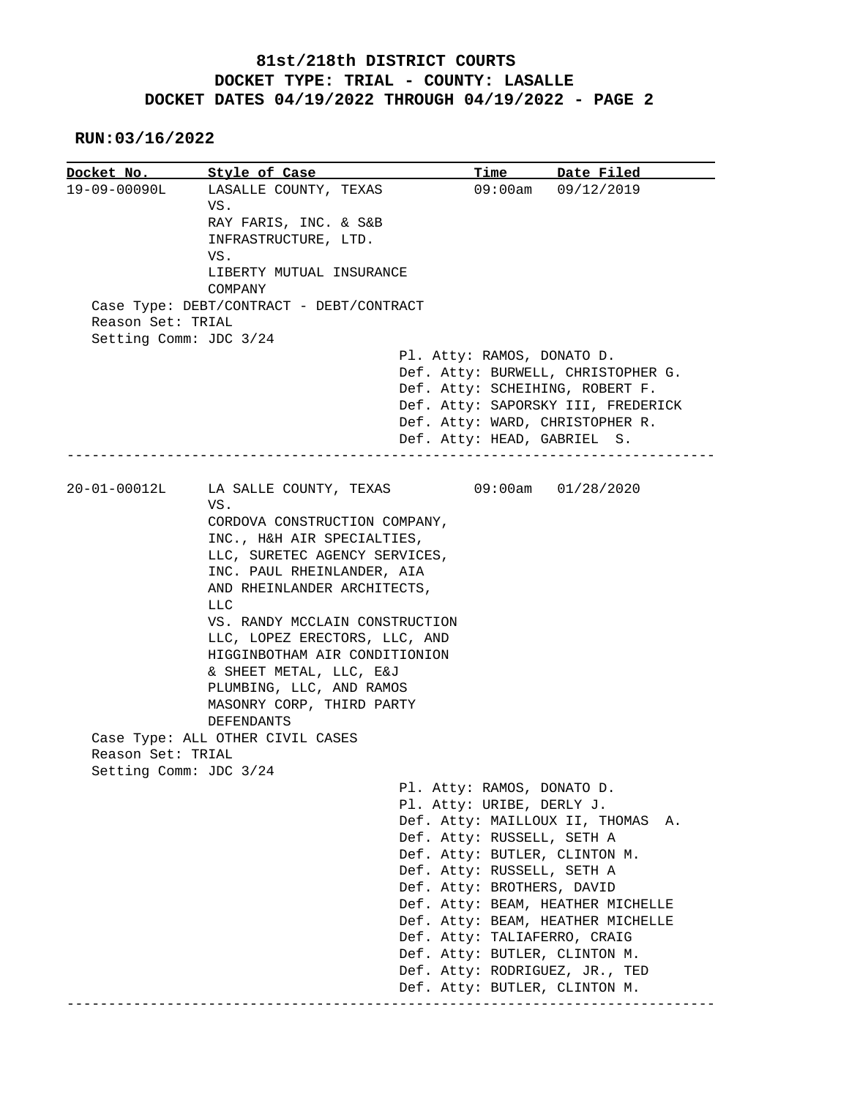## **81st/218th DISTRICT COURTS DOCKET TYPE: TRIAL - COUNTY: LASALLE DOCKET DATES 04/19/2022 THROUGH 04/19/2022 - PAGE 2**

 **RUN:03/16/2022**

**Docket No.** Style of Case Time Date Filed 19-09-00090L LASALLE COUNTY, TEXAS 09:00am 09/12/2019 VS. RAY FARIS, INC. & S&B INFRASTRUCTURE, LTD. VS. LIBERTY MUTUAL INSURANCE COMPANY Case Type: DEBT/CONTRACT - DEBT/CONTRACT Reason Set: TRIAL Setting Comm: JDC 3/24 Pl. Atty: RAMOS, DONATO D. Def. Atty: BURWELL, CHRISTOPHER G. Def. Atty: SCHEIHING, ROBERT F. Def. Atty: SAPORSKY III, FREDERICK Def. Atty: WARD, CHRISTOPHER R. Def. Atty: HEAD, GABRIEL S. ------------------------------------------------------------------------------ 20-01-00012L LA SALLE COUNTY, TEXAS 09:00am 01/28/2020 VS. CORDOVA CONSTRUCTION COMPANY, INC., H&H AIR SPECIALTIES, LLC, SURETEC AGENCY SERVICES, INC. PAUL RHEINLANDER, AIA AND RHEINLANDER ARCHITECTS, **LLC** Design to the state of the state of the state of the state of the state of the state of the state of the state of the state of the state of the state of the state of the state of the state of the state of the state o VS. RANDY MCCLAIN CONSTRUCTION LLC, LOPEZ ERECTORS, LLC, AND HIGGINBOTHAM AIR CONDITIONION & SHEET METAL, LLC, E&J PLUMBING, LLC, AND RAMOS MASONRY CORP, THIRD PARTY DEFENDANTS Case Type: ALL OTHER CIVIL CASES Reason Set: TRIAL Setting Comm: JDC 3/24 Pl. Atty: RAMOS, DONATO D. Pl. Atty: URIBE, DERLY J. Def. Atty: MAILLOUX II, THOMAS A. Def. Atty: RUSSELL, SETH A Def. Atty: BUTLER, CLINTON M. Def. Atty: RUSSELL, SETH A Def. Atty: BROTHERS, DAVID Def. Atty: BEAM, HEATHER MICHELLE Def. Atty: BEAM, HEATHER MICHELLE Def. Atty: TALIAFERRO, CRAIG Def. Atty: BUTLER, CLINTON M. Def. Atty: RODRIGUEZ, JR., TED Def. Atty: BUTLER, CLINTON M. ------------------------------------------------------------------------------